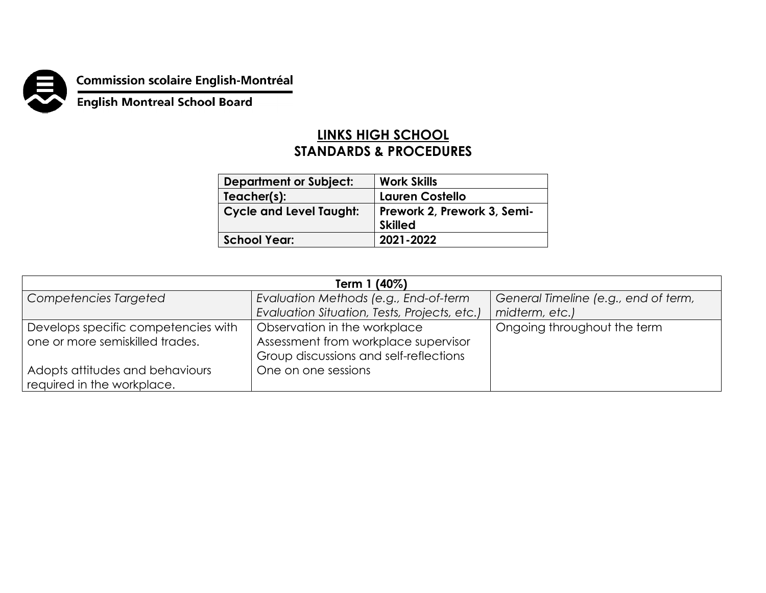

**Commission scolaire English-Montréal<br>English Montreal School Board** 

## **LINKS HIGH SCHOOL STANDARDS & PROCEDURES**

| <b>Department or Subject:</b>  | <b>Work Skills</b>                            |
|--------------------------------|-----------------------------------------------|
| Teacher(s):                    | <b>Lauren Costello</b>                        |
| <b>Cycle and Level Taught:</b> | Prework 2, Prework 3, Semi-<br><b>Skilled</b> |
| <b>School Year:</b>            | 2021-2022                                     |

| Term 1 (40%)                        |                                              |                                      |  |
|-------------------------------------|----------------------------------------------|--------------------------------------|--|
| Competencies Targeted               | Evaluation Methods (e.g., End-of-term        | General Timeline (e.g., end of term, |  |
|                                     | Evaluation Situation, Tests, Projects, etc.) | midterm, etc.)                       |  |
| Develops specific competencies with | Observation in the workplace                 | Ongoing throughout the term          |  |
| one or more semiskilled trades.     | Assessment from workplace supervisor         |                                      |  |
|                                     | Group discussions and self-reflections       |                                      |  |
| Adopts attitudes and behaviours     | One on one sessions                          |                                      |  |
| required in the workplace.          |                                              |                                      |  |